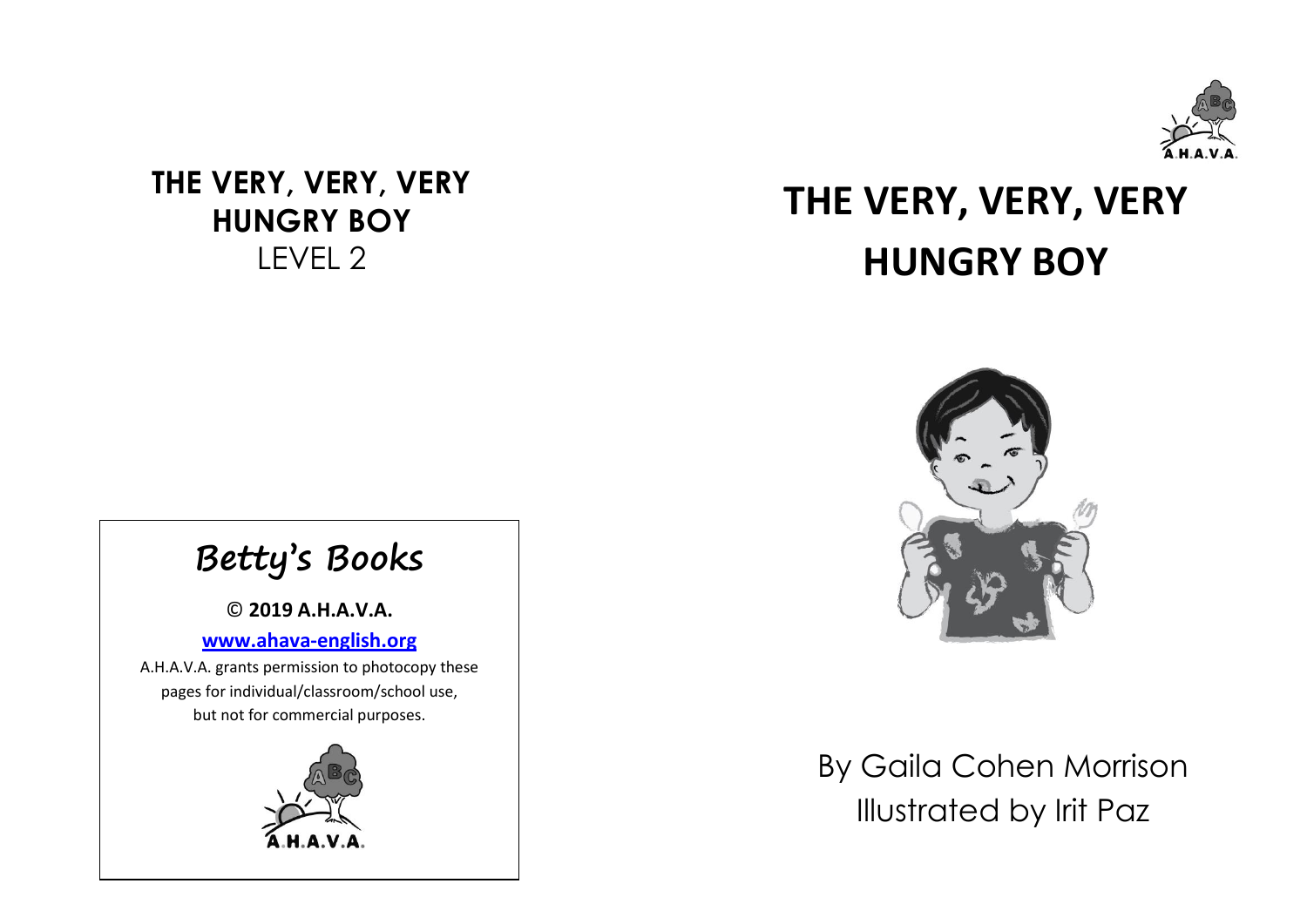

### **THE VERY, VERY, VERY HUNGRY BOY** LEVEL 2

## **THE VERY, VERY, VERY HUNGRY BOY**



# **Betty's Books**

© **2019 A.H.A.V.A.**

#### **[www.ahava-english.org](http://www.ahava-english.org/)**

www.anava-engnsm.org<br>A.H.A.V.A. grants permission to photocopy these pages for individual/classroom/school use, but not for commercial purposes.



By Gaila Cohen Morrison Illustrated by Irit Paz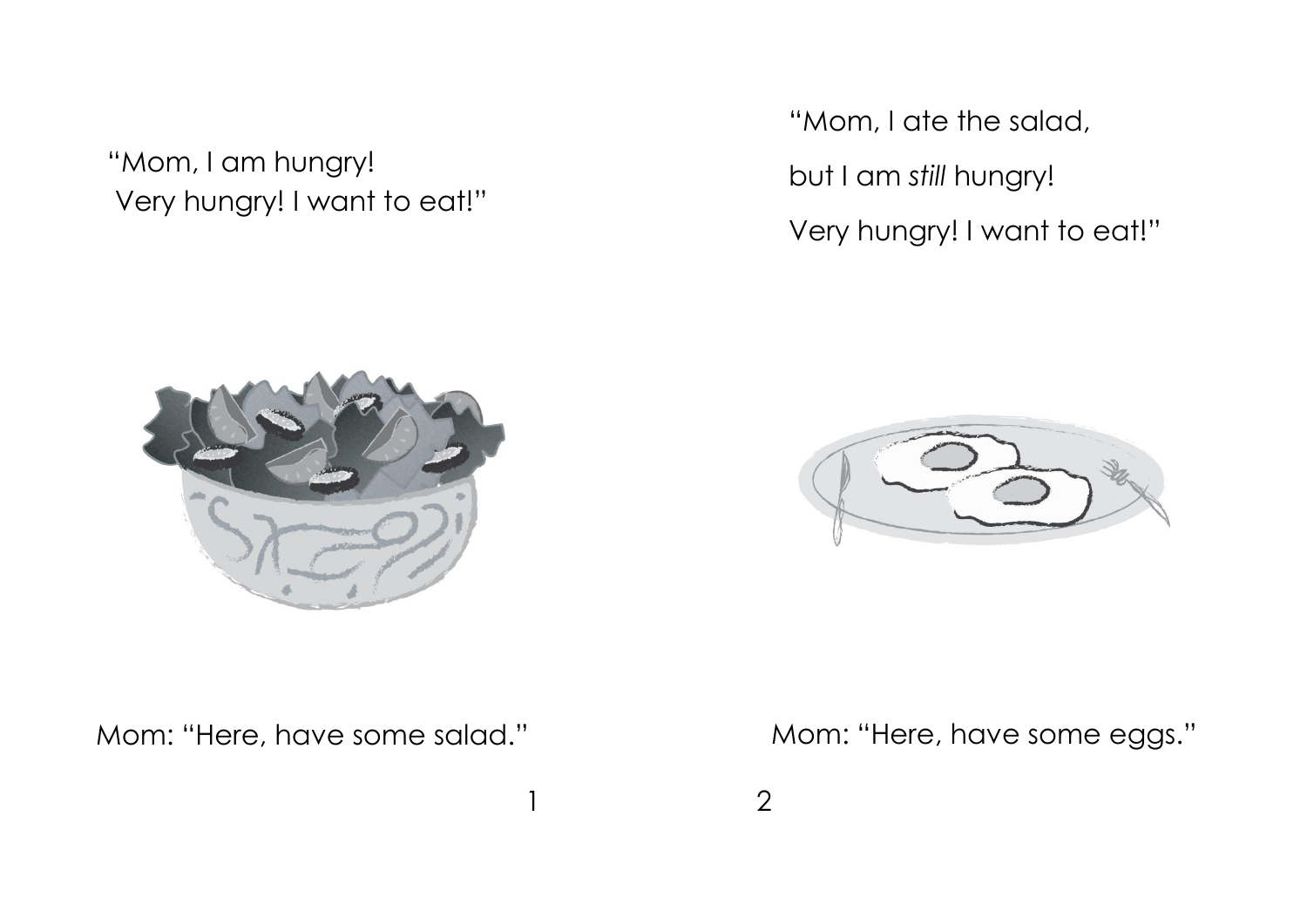"Mom, I am hungry! Very hungry! I want to eat!"

"Mom, I ate the salad, but I am *still* hungry! Very hungry! I want to eat!"



Mom: "Here, have some salad." Mom: "Here, have some eggs."

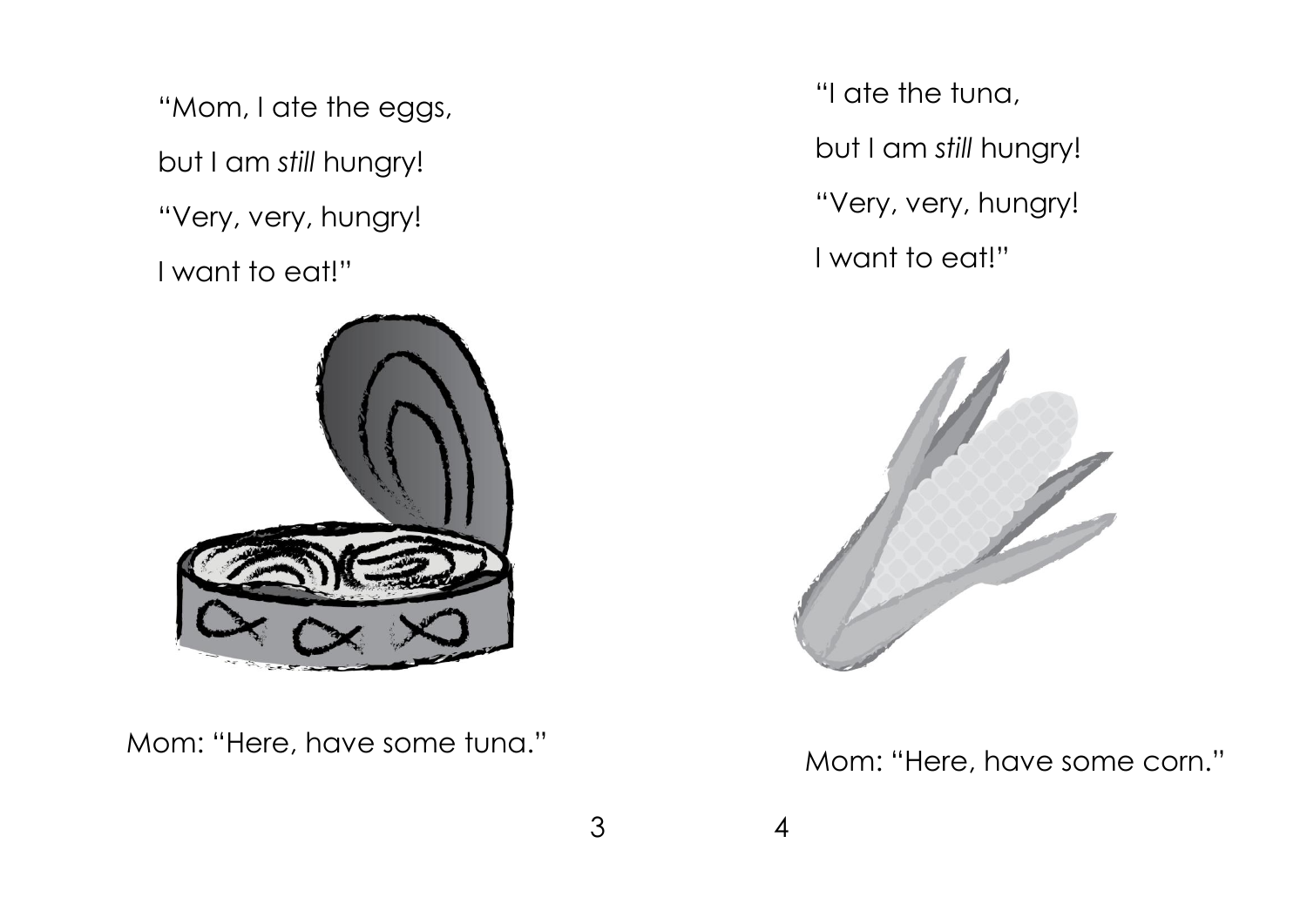"Mom, I ate the eggs, but I am *still* hungry! "Very, very, hungry! I want to eat!"



Mom: "Here, have some tuna." Mom: "Here, have some corn."

"I ate the tuna, but I am *still* hungry! "Very, very, hungry! I want to eat!"

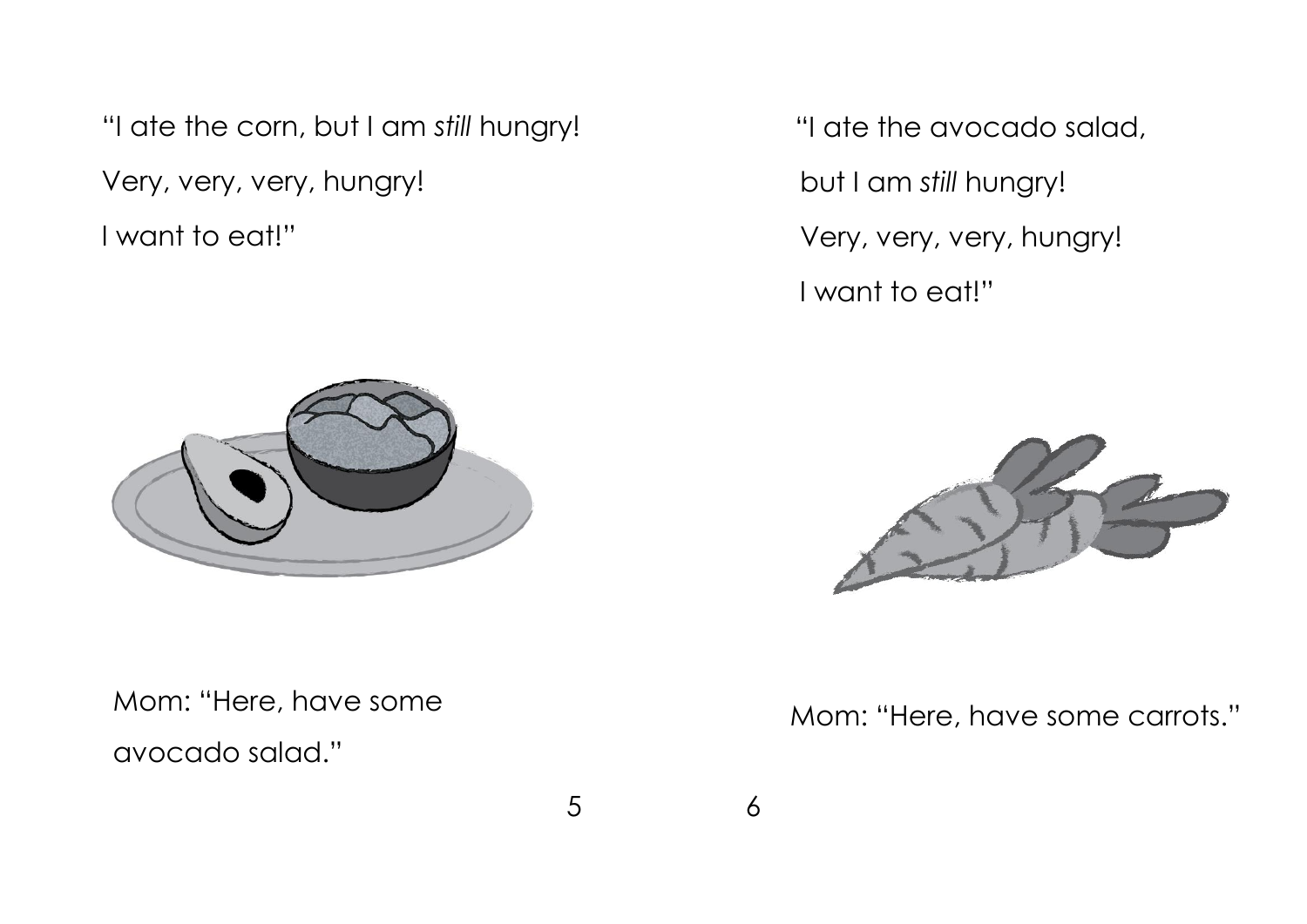"I ate the corn, but I am *still* hungry! Very, very, very, hungry! I want to eat!"



Mom: "Here, have some

avocado salad."

 "I ate the avocado salad, but I am *still* hungry! Very, very, very, hungry! I want to eat!"



Mom: "Here, have some carrots."